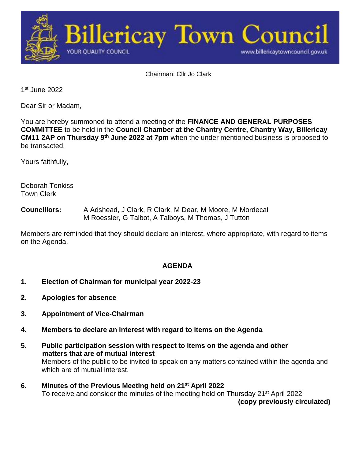

Chairman: Cllr Jo Clark

1 st June 2022

Dear Sir or Madam,

You are hereby summoned to attend a meeting of the **FINANCE AND GENERAL PURPOSES COMMITTEE** to be held in the **Council Chamber at the Chantry Centre, Chantry Way, Billericay CM11 2AP on Thursday 9<sup>th</sup> June 2022 at 7pm when the under mentioned business is proposed to** be transacted.

Yours faithfully,

Deborah Tonkiss Town Clerk

**Councillors:** A Adshead, J Clark, R Clark, M Dear, M Moore, M Mordecai M Roessler, G Talbot, A Talboys, M Thomas, J Tutton

Members are reminded that they should declare an interest, where appropriate, with regard to items on the Agenda.

## **AGENDA**

- **1. Election of Chairman for municipal year 2022-23**
- **2. Apologies for absence**
- **3. Appointment of Vice-Chairman**
- **4. Members to declare an interest with regard to items on the Agenda**
- **5. Public participation session with respect to items on the agenda and other matters that are of mutual interest** Members of the public to be invited to speak on any matters contained within the agenda and which are of mutual interest.
- **6. Minutes of the Previous Meeting held on 21st April 2022** To receive and consider the minutes of the meeting held on Thursday 21<sup>st</sup> April 2022 **(copy previously circulated)**